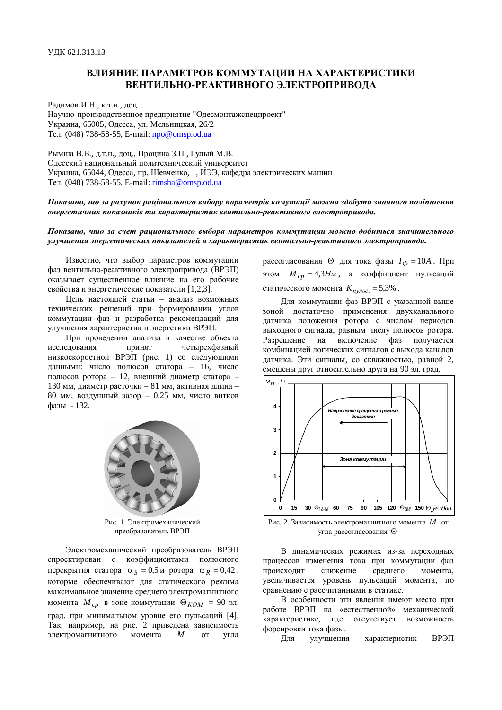## ВЛИЯНИЕ ПАРАМЕТРОВ КОММУТАНИИ НА ХАРАКТЕРИСТИКИ **ВЕНТИЛЬНО-РЕАКТИВНОГО ЭЛЕКТРОПРИВОДА**

Радимов И.Н., к.т.н., доц. Научно-производственное предприятие "Одесмонтажспецпроект" Украина, 65005, Одесса, ул. Мельницкая, 26/2 Ɍɟɥ. (048) 738-58-55, E-mail: [npo@omsp.od.ua](mailto:npo@omsp.od.ua)

Рымша В.В., д.т.н., доц., Процина З.П., Гулый М.В. Одесский национальный политехнический университет Украина, 65044, Одесса, пр. Шевченко, 1, ИЭЭ, кафедра электрических машин Ɍɟɥ. (048) 738-58-55, E-mail: [rimsha@omsp.od.ua](mailto:rimsha@omsp.od.ua)

## Показано, що за рахунок раціонального вибору параметрів комутації можна здобути значного поліпшення енергетичних показників та характеристик вентильно-реактивного електропривода.

Показано, что за счет рационального выбора параметров коммутации можно добиться значительного үлүчшения энергетических показателей и характеристик вентильно-реактивного электропривода.

Известно, что выбор параметров коммутации фаз вентильно-реактивного электропривода (ВРЭП) оказывает существенное влияние на его рабочие свойства и энергетические показатели [1,2,3].

Цель настоящей статьи – анализ возможных технических решений при формировании углов коммутации фаз и разработка рекомендаций для улучшения характеристик и энергетики ВРЭП.

При провелении анализа в качестве объекта исслелования принят четырехфазный низкоскоростной ВРЭП (рис. 1) со следующими данными: число полюсов статора – 16, число полюсов ротора – 12, внешний диаметр статора – 130 мм, диаметр расточки – 81 мм, активная длина –  $80$  мм, возлушный зазор – 0,25 мм, число витков фазы - 132.



Рис. 1. Электромеханический преобразователь ВРЭП

Электромеханический преобразователь ВРЭП спроектирован с коэффициентами полюсного перекрытия статора  $\alpha_S = 0.5$  и ротора  $\alpha_R = 0.42$ , которые обеспечивают для статического режима максимальное значение среднего электромагнитного момента  $M_{cp}$  в зоне коммутации  $\Theta_{KOM} = 90$  эл. град. при минимальном уровне его пульсаций [4]. Так, например, на рис. 2 приведена зависимость электромагнитного момента *M* от угла

рассогласования  $\Theta$  для тока фазы  $I_{\Phi} = 10A$ . При этом  $M_{cp} = 4,3H_M$ , а коэффициент пульсаций статического момента  $K_{ny,abc} = 5,3\%$ .

Для коммутации фаз ВРЭП с указанной выше зоной достаточно применения двухканального датчика положения ротора с числом периодов выходного сигнала, равным числу полюсов ротора. Разрешение на включение фаз получается комбинацией логических сигналов с выхода каналов датчика. Эти сигналы, со скважностью, равной 2, смещены друг относительно друга на 90 эл. град.



Рис. 2. Зависимость электромагнитного момента М от угла рассогласования <sup>⊙</sup>

В динамических режимах из-за переходных процессов изменения тока при коммутации фаз происходит снижение среднего момента, увеличивается уровень пульсаций момента, по сравнению с рассчитанными в статике.

В особенности эти явления имеют место при работе ВРЭП на «естественной» механической характеристике, где отсутствует возможность форсировки тока фазы.

Для улучшения характеристик ВРЭП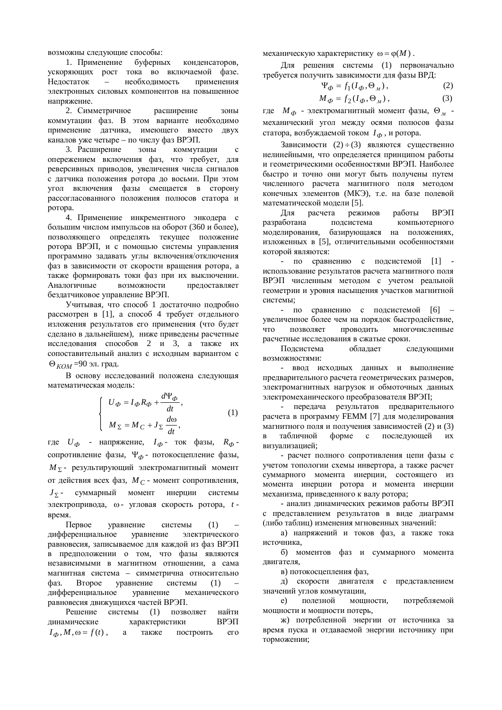возможны следующие способы:

1. Применение буферных конденсаторов, үскоряющих рост тока во включаемой фазе. Нелостаток – необходимость применения электронных силовых компонентов на повышенное напряжение.

2. Симметричное расширение зоны коммутации фаз. В этом варианте необходимо применение датчика, имеющего вместо двух каналов уже четыре – по числу фаз ВРЭП.

3. Расширение зоны коммутации с опережением включения фаз, что требует, для реверсивных приводов, увеличения числа сигналов с датчика положения ротора до восьми. При этом угол включения фазы смещается в сторону рассогласованного положения полюсов статора и ротора.

4. Применение инкрементного энкодера с большим числом импульсов на оборот (360 и более), позволяющего определять текущее положение ротора ВРЭП, и с помошью системы управления программно задавать углы включения/отключения фаз в зависимости от скорости вращения ротора, а также формировать токи фаз при их выключении. Аналогичные возможности предоставляет бездатчиковое управление ВРЭП.

Учитывая, что способ 1 достаточно подробно рассмотрен в [1], а способ 4 требует отдельного изложения результатов его применения (что будет слелано в дальнейшем), ниже приведены расчетные исследования способов 2 и 3, а также их сопоставительный анализ с исходным вариантом с  $\Theta_{KOM}$ =90 эл. град.

В основу исследований положена следующая математическая модель:

$$
U_{\Phi} = I_{\Phi} R_{\Phi} + \frac{d\Psi_{\Phi}}{dt},
$$
  

$$
M_{\Sigma} = M_C + J_{\Sigma} \frac{d\omega}{dt},
$$
 (1)

где  $U_{\Phi}$  - напряжение,  $I_{\Phi}$ - ток фазы,  $R_{\Phi}$ сопротивление фазы, Ч<sub>Ф</sub>- потокосцепление фазы,  $M_{\Sigma}$ - результирующий электромагнитный момент от действия всех фаз, *M<sub>C</sub>* - момент сопротивления,  $J_{\Sigma}$  суммарный момент инерции системы электропривода, ω - угловая скорость ротора, t время.

 $\Pi$ ервое уравнение системы  $(1)$ дифференциальное уравнение электрического равновесия, записываемое для каждой из фаз ВРЭП в предположении о том, что фазы являются независимыми в магнитном отношении, а сама магнитная система – симметрична относительно фаз. Второе уравнение системы (1) дифференциальное уравнение механического равновесия движущихся частей ВРЭП.

Решение системы (1) позволяет найти динамические характеристики ВРЭП  $I_{\phi}$ ,  $M$ ,  $\omega = f(t)$ , a также построить его <u>механическую характеристику</u>  $ω = φ(M)$ .

Для решения системы (1) первоначально требуется получить зависимости для фазы ВРД:

$$
\Psi_{\Phi} = f_1(I_{\Phi}, \Theta_M), \qquad (2)
$$

$$
M_{\Phi} = f_2(I_{\Phi}, \Theta_M), \qquad (3)
$$

где  $M_{\Phi}$  - электромагнитный момент фазы,  $\Theta_{\scriptscriptstyle M}$  механический угол между осями полюсов фазы статора, возбуждаемой током  $I_{\Phi}$ , и ротора.

Зависимости (2)  $\div$  (3) являются существенно нелинейными, что определяется принципом работы и геометрическими особенностями ВРЭП. Наиболее быстро и точно они могут быть получены путем численного расчета магнитного поля методом конечных элементов (МКЭ), т.е. на базе полевой математической модели [5].

Для расчета режимов работы ВРЭП разработана подсистема компьютерного моделирования, базирующаяся на положениях, изложенных в [5], отличительными особенностями которой являются:

- по сравнению с подсистемой [1] использование результатов расчета магнитного поля ВРЭП численным методом с учетом реальной геометрии и уровня насыщения участков магнитной системы;

- по сравнению с полсистемой [6] – увеличенное более чем на порядок быстролействие. что позволяет проволить многочисленные расчетные исследования в сжатые сроки.

Подсистема обладает следующими BO3MOЖHOCTЯMИ:

- ввод исходных данных и выполнение предварительного расчета геометрических размеров, электромагнитных нагрузок и обмоточных данных электромеханического преобразователя ВРЭП;

- передача результатов предварительного расчета в программу FEMM [7] для моделирования магнитного поля и получения зависимостей (2) и (3) в табличной форме с последующей их визуализацией;

- расчет полного сопротивления цепи фазы с учетом топологии схемы инвертора, а также расчет суммарного момента инерции, состоящего из момента инерции ротора и момента инерции механизма, приведенного к валу ротора;

- анализ динамических режимов работы ВРЭП с представлением результатов в виде диаграмм (либо таблиц) изменения мгновенных значений:

а) напряжений и токов фаз, а также тока источника.

б) моментов фаз и суммарного момента двигателя,

в) потокосцепления фаз,

д) скорости двигателя с представлением значений углов коммутации,

е) полезной мощности, потребляемой мощности и мощности потерь,

ж) потребленной энергии от источника за время пуска и отдаваемой энергии источнику при торможении;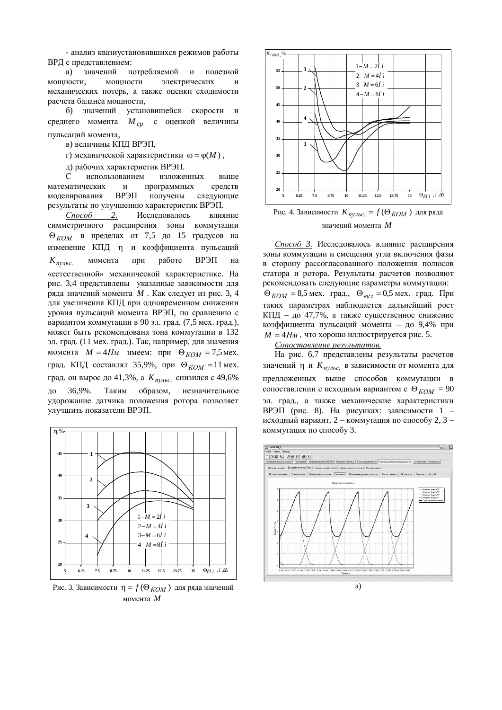- анализ квазиустановившихся режимов работы ВРД с представлением:

а) значений потребляемой и полезной мощности, мощности электрических и механических потерь, а также оценки сходимости расчета баланса мощности,

б) значений установишейся скорости и среднего момента *M cp* с оценкой величины пульсаций момента,

в) величины КПД ВРЭП,

г) механической характеристики  $\omega = \varphi(M)$ ,

д) рабочих характеристик ВРЭП.

С использованием изложенных выше математических и программных средств моделирования ВРЭП получены следующие результаты по улучшению характеристик ВРЭП.

Способ 2. Исследовалось влияние симметричного расширения зоны коммутации  $\Theta_{KOM}$  в пределах от 7,5 до 15 градусов на изменение КПД η и коэффициента пульсаций  $K_{\text{nv,loc.}}$ момента при работе ВРЭП на «естественной» механической характеристике. На рис. 3,4 представлены указанные зависимости для ряда значений момента *M* . Как следует из рис. 3, 4 для увеличения КПЛ при одновременном снижении уровня пульсаций момента ВРЭП, по сравнению с вариантом коммутации в 90 эл. град. (7,5 мех. град.), может быть рекомендована зона коммутации в 132 эл. град. (11 мех. град.). Так, например, для значения момента  $M = 4H_M$  имеем: при  $\Theta_{KOM} = 7.5$  мех. град. КПД составлял 35,9%, при ⊕<sub>КОМ</sub> = 11 мех. град. он вырос до 41,3%, а *К<sub>пульс*. снизился с 49,6%</sub> до 36,9%. Таким образом, незначительное удорожание датчика положения ротора позволяет улучшить показатели ВРЭП.



Pис. 3. Зависимости  $\eta = f(\Theta_{KOM})$  для ряда значений момента  $M$ 



Рис. 4. Зависимости  $K_{ny,abc} = f(\Theta_{KOM})$  для ряда значений момента М

Способ 3. Исследовалось влияние расширения зоны коммутации и смещения угла включения фазы в сторону рассогласованного положения полюсов статора и ротора. Результаты расчетов позволяют рекомендовать следующие параметры коммутации:  $\Theta_{KOM} = 8.5$  мех. град.,  $\Theta_{BKZ} = 0.5$  мех. град. При таких параметрах наблюдается дальнейший рост КПД – до 47,7%, а также существенное снижение коэффициента пульсаций момента – до 9,4% при  $M = 4H<sub>M</sub>$ , что хорошо иллюстрируется рис. 5.

 $Conocma$ *вление результатов.* 

На рис. 6,7 представлены результаты расчетов значений η и *К<sub>пульс*. в зависимости от момента для</sub> предложенных выше способов коммутации в сопоставлении с исходным вариантом с  $\Theta_{KOM} = 90$ эл. град., а также механические характеристики ВРЭП (рис. 8). На рисунках: зависимости 1 – исходный вариант, 2 – коммутация по способу 2, 3 – коммутация по способу 3.

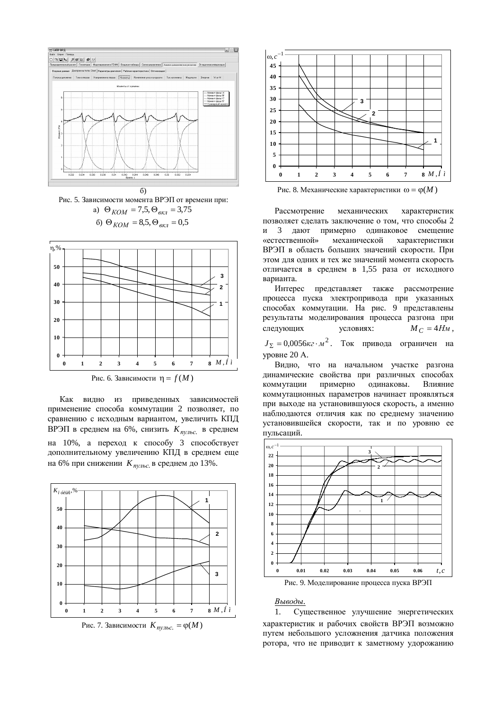

Рис. 5. Зависимости момента ВРЭП от времени при: a)  $\Theta_{KOM} = 7.5, \Theta_{KEM} = 3.75$ **6**)  $\Theta_{KOM} = 8.5, \Theta_{KRI} = 0.5$ 



Рис. 6. Зависимости  $\eta = f(M)$ 

Как видно из приведенных зависимостей применение способа коммутации 2 позволяет, по сравнению с исходным вариантом, увеличить КПД ВРЭП в среднем на 6%, снизить К<sub>лульс.</sub> в среднем на 10%, а переход к способу 3 способствует дополнительному увеличению КПД в среднем еще на 6% при снижении  $K_{ny,abc}$  в среднем до 13%.





Pис. 8. Механические характеристики  $\omega = \varphi(M)$ 

Рассмотрение механических характеристик позволяет слелать заключение о том, что способы 2 и 3 дают примерно одинаковое смещение «естественной» механической характеристики ВРЭП в область больших значений скорости. При этом для одних и тех же значений момента скорость отличается в среднем в 1,55 раза от исходного варианта.

Интерес представляет также рассмотрение процесса пуска электропривода при указанных способах коммутации. На рис. 9 представлены результаты моделирования процесса разгона при следующих условиях:  $M_C = 4H_M$ ,

 $J_{\Sigma} = 0.0056\kappa\epsilon \cdot \mu^2$ . Ток привода ограничен на уровне 20 A.

Видно, что на начальном участке разгона динамические свойства при различных способах коммутации примерно одинаковы. Влияние коммутационных параметров начинает проявляться при выходе на установившуюся скорость, а именно наблюдаются отличия как по среднему значению установившейся скорости, так и по уровню ее пульсаций.



Рис. 9. Моделирование процесса пуска ВРЭП

## *Выводы.*

1. Существенное улучшение энергетических характеристик и рабочих свойств ВРЭП возможно путем небольшого усложнения датчика положения ротора, что не приводит к заметному удорожанию